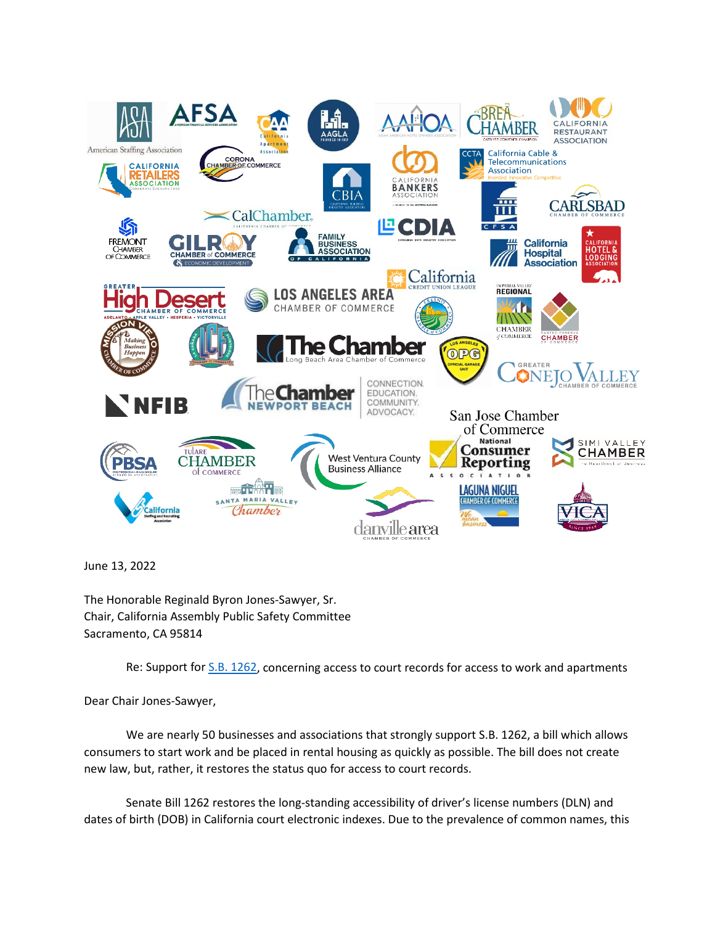

June 13, 2022

The Honorable Reginald Byron Jones-Sawyer, Sr. Chair, California Assembly Public Safety Committee Sacramento, CA 95814

Re: Support fo[r S.B. 1262,](https://leginfo.legislature.ca.gov/faces/billNavClient.xhtml?bill_id=202120220SB1262) concerning access to court records for access to work and apartments

Dear Chair Jones-Sawyer,

We are nearly 50 businesses and associations that strongly support S.B. 1262, a bill which allows consumers to start work and be placed in rental housing as quickly as possible. The bill does not create new law, but, rather, it restores the status quo for access to court records.

Senate Bill 1262 restores the long-standing accessibility of driver's license numbers (DLN) and dates of birth (DOB) in California court electronic indexes. Due to the prevalence of common names, this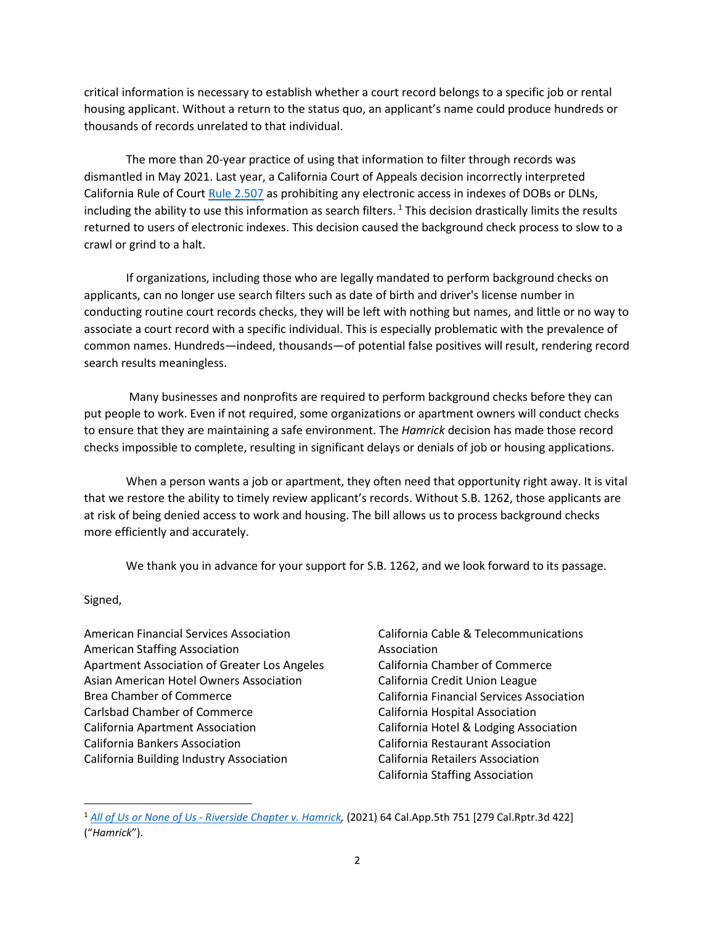critical information is necessary to establish whether a court record belongs to a specific job or rental housing applicant. Without a return to the status quo, an applicant's name could produce hundreds or thousands of records unrelated to that individual.

The more than 20-year practice of using that information to filter through records was dismantled in May 2021. Last year, a California Court of Appeals decision incorrectly interpreted California Rule of Cour[t Rule 2.507](https://www.courts.ca.gov/cms/rules/index.cfm?title=two&linkid=rule2_507) as prohibiting any electronic access in indexes of DOBs or DLNs, including the ability to use this information as search filters.<sup>[1](#page-1-0)</sup> This decision drastically limits the results returned to users of electronic indexes. This decision caused the background check process to slow to a crawl or grind to a halt.

If organizations, including those who are legally mandated to perform background checks on applicants, can no longer use search filters such as date of birth and driver's license number in conducting routine court records checks, they will be left with nothing but names, and little or no way to associate a court record with a specific individual. This is especially problematic with the prevalence of common names. Hundreds—indeed, thousands—of potential false positives will result, rendering record search results meaningless.

Many businesses and nonprofits are required to perform background checks before they can put people to work. Even if not required, some organizations or apartment owners will conduct checks to ensure that they are maintaining a safe environment. The *Hamrick* decision has made those record checks impossible to complete, resulting in significant delays or denials of job or housing applications.

When a person wants a job or apartment, they often need that opportunity right away. It is vital that we restore the ability to timely review applicant's records. Without S.B. 1262, those applicants are at risk of being denied access to work and housing. The bill allows us to process background checks more efficiently and accurately.

We thank you in advance for your support for S.B. 1262, and we look forward to its passage.

Signed,

- American Financial Services Association American Staffing Association Apartment Association of Greater Los Angeles Asian American Hotel Owners Association Brea Chamber of Commerce Carlsbad Chamber of Commerce California Apartment Association California Bankers Association California Building Industry Association
- California Cable & Telecommunications Association California Chamber of Commerce California Credit Union League California Financial Services Association California Hospital Association California Hotel & Lodging Association California Restaurant Association California Retailers Association California Staffing Association

<span id="page-1-0"></span><sup>1</sup> *[All of Us or None of Us - Riverside Chapter v. Hamrick,](https://law.justia.com/cases/california/court-of-appeal/2021/d076524.html)* (2021) 64 Cal.App.5th 751 [279 Cal.Rptr.3d 422] ("*Hamrick*").